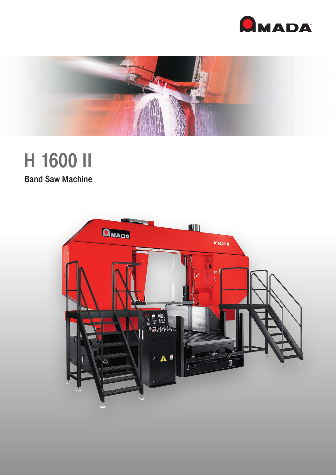



# H 1600 II

**Band Saw Machine**